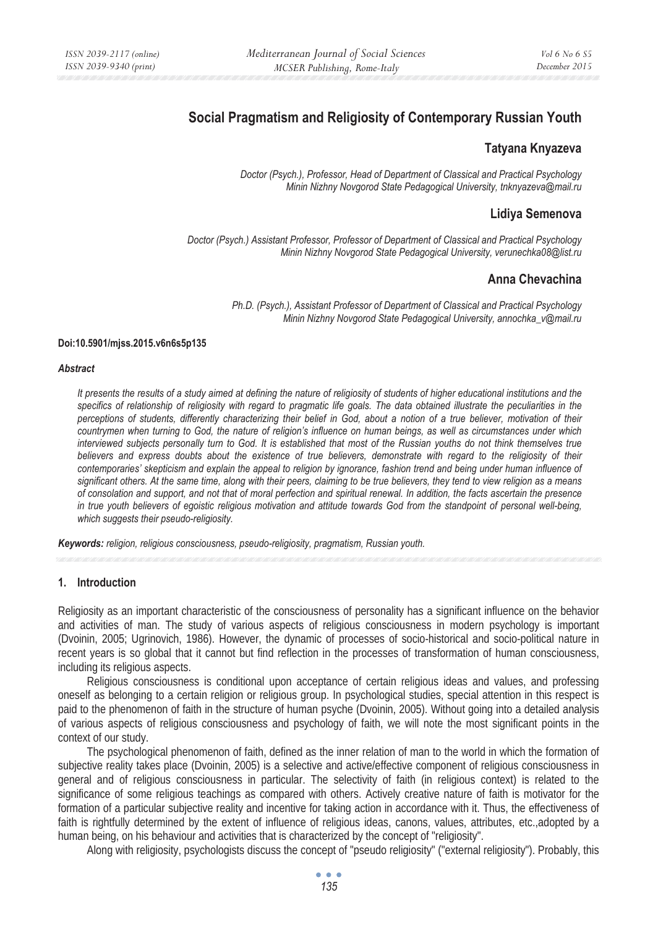# **Social Pragmatism and Religiosity of Contemporary Russian Youth**

### **Tatyana Knyazeva**

*Doctor (Psych.), Professor, Head of Department of Classical and Practical Psychology Minin Nizhny Novgorod State Pedagogical University, tnknyazeva@mail.ru* 

# **Lidiya Semenova**

*Doctor (Psych.) Assistant Professor, Professor of Department of Classical and Practical Psychology Minin Nizhny Novgorod State Pedagogical University, verunechka08@list.ru* 

# **Anna Chevachina**

*Ph.D. (Psych.), Assistant Professor of Department of Classical and Practical Psychology Minin Nizhny Novgorod State Pedagogical University, annochka\_v@mail.ru* 

#### **Doi:10.5901/mjss.2015.v6n6s5p135**

#### *Abstract*

*It presents the results of a study aimed at defining the nature of religiosity of students of higher educational institutions and the*  specifics of relationship of religiosity with regard to pragmatic life goals. The data obtained illustrate the peculiarities in the *perceptions of students, differently characterizing their belief in God, about a notion of a true believer, motivation of their countrymen when turning to God, the nature of religion's influence on human beings, as well as circumstances under which*  interviewed subjects personally turn to God. It is established that most of the Russian youths do not think themselves true believers and express doubts about the existence of true believers, demonstrate with regard to the religiosity of their *contemporaries' skepticism and explain the appeal to religion by ignorance, fashion trend and being under human influence of significant others. At the same time, along with their peers, claiming to be true believers, they tend to view religion as a means of consolation and support, and not that of moral perfection and spiritual renewal. In addition, the facts ascertain the presence in true youth believers of egoistic religious motivation and attitude towards God from the standpoint of personal well-being, which suggests their pseudo-religiosity.* 

*Keywords: religion, religious consciousness, pseudo-religiosity, pragmatism, Russian youth.*

#### **1. Introduction**

Religiosity as an important characteristic of the consciousness of personality has a significant influence on the behavior and activities of man. The study of various aspects of religious consciousness in modern psychology is important (Dvoinin, 2005; Ugrinovich, 1986). However, the dynamic of processes of socio-historical and socio-political nature in recent years is so global that it cannot but find reflection in the processes of transformation of human consciousness, including its religious aspects.

Religious consciousness is conditional upon acceptance of certain religious ideas and values, and professing oneself as belonging to a certain religion or religious group. In psychological studies, special attention in this respect is paid to the phenomenon of faith in the structure of human psyche (Dvoinin, 2005). Without going into a detailed analysis of various aspects of religious consciousness and psychology of faith, we will note the most significant points in the context of our study.

The psychological phenomenon of faith, defined as the inner relation of man to the world in which the formation of subjective reality takes place (Dvoinin, 2005) is a selective and active/effective component of religious consciousness in general and of religious consciousness in particular. The selectivity of faith (in religious context) is related to the significance of some religious teachings as compared with others. Actively creative nature of faith is motivator for the formation of a particular subjective reality and incentive for taking action in accordance with it. Thus, the effectiveness of faith is rightfully determined by the extent of influence of religious ideas, canons, values, attributes, etc.,adopted by a human being, on his behaviour and activities that is characterized by the concept of "religiosity".

Along with religiosity, psychologists discuss the concept of "pseudo religiosity" ("external religiosity"). Probably, this

 $\bullet$   $\bullet$   $\bullet$ *135*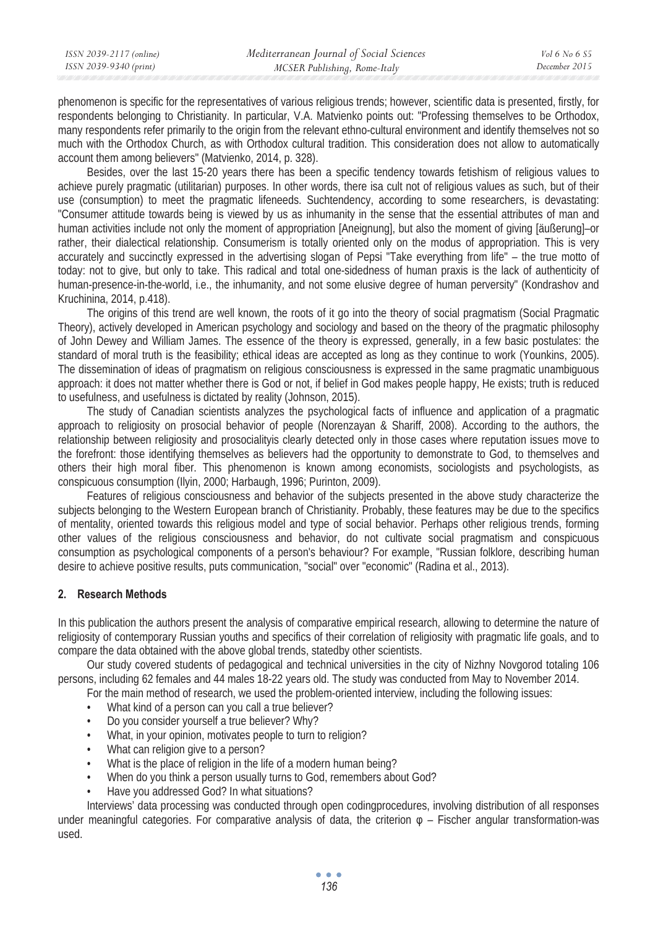| ISSN 2039-2117 (online) | Mediterranean Journal of Social Sciences | Vol 6 No 6 S5 |
|-------------------------|------------------------------------------|---------------|
| ISSN 2039-9340 (print)  | MCSER Publishing, Rome-Italy             | December 2015 |
|                         |                                          |               |

phenomenon is specific for the representatives of various religious trends; however, scientific data is presented, firstly, for respondents belonging to Christianity. In particular, V.A. Matvienko points out: "Professing themselves to be Orthodox, many respondents refer primarily to the origin from the relevant ethno-cultural environment and identify themselves not so much with the Orthodox Church, as with Orthodox cultural tradition. This consideration does not allow to automatically account them among believers" (Matvienko, 2014, p. 328).

Besides, over the last 15-20 years there has been a specific tendency towards fetishism of religious values to achieve purely pragmatic (utilitarian) purposes. In other words, there isa cult not of religious values as such, but of their use (consumption) to meet the pragmatic lifeneeds. Suchtendency, according to some researchers, is devastating: "Consumer attitude towards being is viewed by us as inhumanity in the sense that the essential attributes of man and human activities include not only the moment of appropriation [Aneignung], but also the moment of giving [äußerung]–or rather, their dialectical relationship. Consumerism is totally oriented only on the modus of appropriation. This is very accurately and succinctly expressed in the advertising slogan of Pepsi "Take everything from life" – the true motto of today: not to give, but only to take. This radical and total one-sidedness of human praxis is the lack of authenticity of human-presence-in-the-world, i.e., the inhumanity, and not some elusive degree of human perversity" (Kondrashov and Kruchinina, 2014, p.418).

The origins of this trend are well known, the roots of it go into the theory of social pragmatism (Social Pragmatic Theory), actively developed in American psychology and sociology and based on the theory of the pragmatic philosophy of John Dewey and William James. The essence of the theory is expressed, generally, in a few basic postulates: the standard of moral truth is the feasibility; ethical ideas are accepted as long as they continue to work (Younkins, 2005). The dissemination of ideas of pragmatism on religious consciousness is expressed in the same pragmatic unambiguous approach: it does not matter whether there is God or not, if belief in God makes people happy, He exists; truth is reduced to usefulness, and usefulness is dictated by reality (Johnson, 2015).

The study of Canadian scientists analyzes the psychological facts of influence and application of a pragmatic approach to religiosity on prosocial behavior of people (Norenzayan & Shariff, 2008). According to the authors, the relationship between religiosity and prosocialityis clearly detected only in those cases where reputation issues move to the forefront: those identifying themselves as believers had the opportunity to demonstrate to God, to themselves and others their high moral fiber. This phenomenon is known among economists, sociologists and psychologists, as conspicuous consumption (Ilyin, 2000; Harbaugh, 1996; Purinton, 2009).

Features of religious consciousness and behavior of the subjects presented in the above study characterize the subjects belonging to the Western European branch of Christianity. Probably, these features may be due to the specifics of mentality, oriented towards this religious model and type of social behavior. Perhaps other religious trends, forming other values of the religious consciousness and behavior, do not cultivate social pragmatism and conspicuous consumption as psychological components of a person's behaviour? For example, "Russian folklore, describing human desire to achieve positive results, puts communication, "social" over "economic" (Radina et al., 2013).

#### **2. Research Methods**

In this publication the authors present the analysis of comparative empirical research, allowing to determine the nature of religiosity of contemporary Russian youths and specifics of their correlation of religiosity with pragmatic life goals, and to compare the data obtained with the above global trends, statedby other scientists.

Our study covered students of pedagogical and technical universities in the city of Nizhny Novgorod totaling 106 persons, including 62 females and 44 males 18-22 years old. The study was conducted from May to November 2014.

For the main method of research, we used the problem-oriented interview, including the following issues:

- What kind of a person can you call a true believer?
- Do you consider yourself a true believer? Why?
- What, in your opinion, motivates people to turn to religion?
- What can religion give to a person?
- What is the place of religion in the life of a modern human being?
- When do you think a person usually turns to God, remembers about God?
- Have you addressed God? In what situations?

Interviews' data processing was conducted through open codingprocedures, involving distribution of all responses under meaningful categories. For comparative analysis of data, the criterion  $\varphi$  – Fischer angular transformation-was used.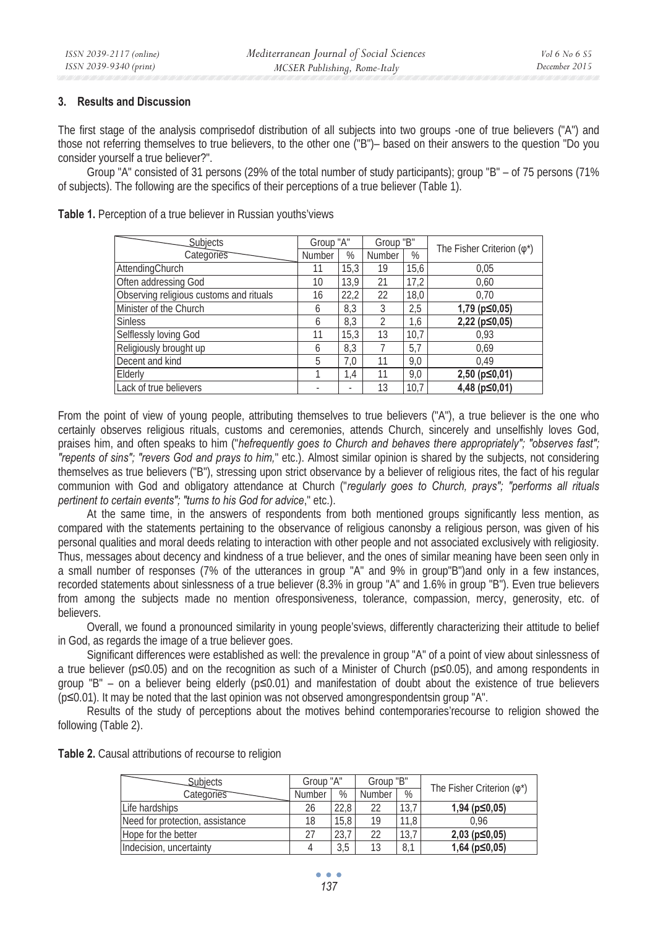### **3. Results and Discussion**

The first stage of the analysis comprisedof distribution of all subjects into two groups -one of true believers ("A") and those not referring themselves to true believers, to the other one ("B")– based on their answers to the question "Do you consider yourself a true believer?".

Group "A" consisted of 31 persons (29% of the total number of study participants); group "B" – of 75 persons (71% of subjects). The following are the specifics of their perceptions of a true believer (Table 1).

**Table 1.** Perception of a true believer in Russian youths'views

| Subjects                                | Group "A" |      | Group "B"      |      | The Fisher Criterion $(\varphi^*)$ |
|-----------------------------------------|-----------|------|----------------|------|------------------------------------|
| Categories                              | Number    | $\%$ | Number         | %    |                                    |
| AttendingChurch                         | 11        | 15,3 | 19             | 15,6 | 0,05                               |
| Often addressing God                    | 10        | 13,9 | 21             | 17,2 | 0,60                               |
| Observing religious customs and rituals | 16        | 22,2 | 22             | 18,0 | 0.70                               |
| Minister of the Church                  | 6         | 8.3  | 3              | 2,5  | 1,79 (p≤0,05)                      |
| <b>Sinless</b>                          | h         | 8,3  | $\mathfrak{D}$ | 1,6  | 2,22 (p≤0,05)                      |
| Selflessly loving God                   | 11        | 15,3 | 13             | 10,7 | 0.93                               |
| Religiously brought up                  | h         | 8,3  |                | 5,7  | 0.69                               |
| Decent and kind                         | 5         | 7.0  | 11             | 9,0  | 0.49                               |
| Elderly                                 |           | 1,4  | 11             | 9,0  | $2,50$ ( $p \le 0,01$ )            |
| Lack of true believers                  |           | ٠    | 13             | 10.7 | 4,48 (p≤0,01)                      |

From the point of view of young people, attributing themselves to true believers ("A"), a true believer is the one who certainly observes religious rituals, customs and ceremonies, attends Church, sincerely and unselfishly loves God, praises him, and often speaks to him ("*hefrequently goes to Church and behaves there appropriately"; "observes fast"; "repents of sins"; "revers God and prays to him,*" etc.). Almost similar opinion is shared by the subjects, not considering themselves as true believers ("B"), stressing upon strict observance by a believer of religious rites, the fact of his regular communion with God and obligatory attendance at Church ("*regularly goes to Church, prays"; "performs all rituals pertinent to certain events"; "turns to his God for advice*," etc.).

At the same time, in the answers of respondents from both mentioned groups significantly less mention, as compared with the statements pertaining to the observance of religious canonsby a religious person, was given of his personal qualities and moral deeds relating to interaction with other people and not associated exclusively with religiosity. Thus, messages about decency and kindness of a true believer, and the ones of similar meaning have been seen only in a small number of responses (7% of the utterances in group "A" and 9% in group"B")and only in a few instances, recorded statements about sinlessness of a true believer (8.3% in group "A" and 1.6% in group "B"). Even true believers from among the subjects made no mention ofresponsiveness, tolerance, compassion, mercy, generosity, etc. of believers.

Overall, we found a pronounced similarity in young people'sviews, differently characterizing their attitude to belief in God, as regards the image of a true believer goes.

Significant differences were established as well: the prevalence in group "A" of a point of view about sinlessness of a true believer ( $p\leq 0.05$ ) and on the recognition as such of a Minister of Church ( $p\leq 0.05$ ), and among respondents in group "B" – on a believer being elderly ( $p \le 0.01$ ) and manifestation of doubt about the existence of true believers  $(p\leq 0.01)$ . It may be noted that the last opinion was not observed amongrespondentsin group "A".

Results of the study of perceptions about the motives behind contemporaries'recourse to religion showed the following (Table 2).

**Table 2.** Causal attributions of recourse to religion

| Subjects                        | Group "A" |      | Group "B" |      | The Fisher Criterion $(\varphi^*)$ |
|---------------------------------|-----------|------|-----------|------|------------------------------------|
| Categories                      | Number    | %    | Number    | %    |                                    |
| Life hardships                  | 26        | 22.8 | 22        | 13.7 | $1,94$ ( $p \le 0,05$ )            |
| Need for protection, assistance | 18        | 15.8 | 19        | 11.8 | 0.96                               |
| Hope for the better             |           | 23.7 | 22        | 13.7 | $2,03$ ( $p \le 0,05$ )            |
| Indecision, uncertainty         |           | 3,5  | 13        | 8.1  | $1,64$ ( $p \le 0,05$ )            |

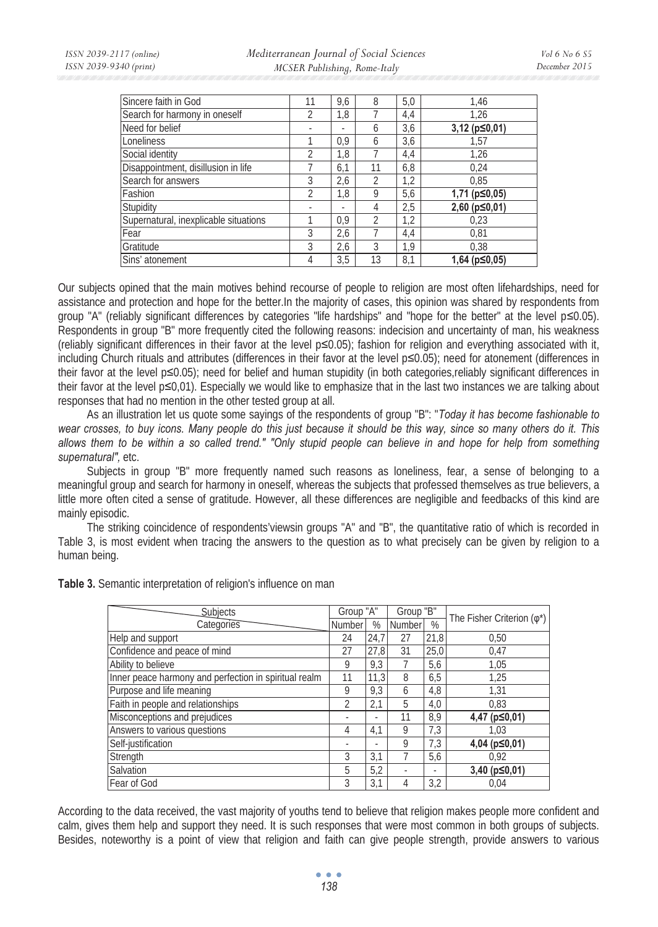| Sincere faith in God                  | 11 | 9,6 | 8              | 5,0 | 1,46                    |
|---------------------------------------|----|-----|----------------|-----|-------------------------|
| Search for harmony in oneself         | 2  | 1,8 |                | 4,4 | 1,26                    |
| Need for belief                       |    |     | 6              | 3,6 | 3,12 ( $p \le 0,01$ )   |
| Loneliness                            |    | 0.9 | 6              | 3,6 | 1,57                    |
| Social identity                       | 2  | 1,8 |                | 4,4 | 1,26                    |
| Disappointment, disillusion in life   |    | 6,1 | 11             | 6,8 | 0,24                    |
| Search for answers                    | 3  | 2,6 | 2              | 1,2 | 0,85                    |
| Fashion                               | 2  | 1,8 | 9              | 5,6 | 1,71 (p≤0,05)           |
| Stupidity                             |    | ٠   | 4              | 2,5 | $2,60$ ( $p \le 0,01$ ) |
| Supernatural, inexplicable situations |    | 0.9 | $\overline{2}$ | 1,2 | 0.23                    |
| Fear                                  | 3  | 2,6 |                | 4.4 | 0.81                    |
| Gratitude                             | 3  | 2,6 | 3              | 1.9 | 0.38                    |
| Sins' atonement                       | 4  | 3,5 | 13             | 8,1 | $1,64$ ( $p \le 0,05$ ) |

Our subjects opined that the main motives behind recourse of people to religion are most often lifehardships, need for assistance and protection and hope for the better.In the majority of cases, this opinion was shared by respondents from group "A" (reliably significant differences by categories "life hardships" and "hope for the better" at the level  $p \le 0.05$ ). Respondents in group "B" more frequently cited the following reasons: indecision and uncertainty of man, his weakness (reliably significant differences in their favor at the level  $p\leq 0.05$ ); fashion for religion and everything associated with it, including Church rituals and attributes (differences in their favor at the level  $p\leq 0.05$ ); need for atonement (differences in their favor at the level p<0.05); need for belief and human stupidity (in both categories,reliably significant differences in their favor at the level  $p \leq 0.01$ . Especially we would like to emphasize that in the last two instances we are talking about responses that had no mention in the other tested group at all.

As an illustration let us quote some sayings of the respondents of group "B": "*Today it has become fashionable to wear crosses, to buy icons. Many people do this just because it should be this way, since so many others do it. This allows them to be within a so called trend." "Only stupid people can believe in and hope for help from something supernatural",* etc.

Subjects in group "B" more frequently named such reasons as loneliness, fear, a sense of belonging to a meaningful group and search for harmony in oneself, whereas the subjects that professed themselves as true believers, a little more often cited a sense of gratitude. However, all these differences are negligible and feedbacks of this kind are mainly episodic.

The striking coincidence of respondents'viewsin groups "A" and "B", the quantitative ratio of which is recorded in Table 3, is most evident when tracing the answers to the question as to what precisely can be given by religion to a human being.

| Subjects                                              | Group "A"                |      | Group "B"     |      | The Fisher Criterion $(\varphi^*)$ |
|-------------------------------------------------------|--------------------------|------|---------------|------|------------------------------------|
| Categories                                            | Number                   | $\%$ | <b>Number</b> | $\%$ |                                    |
| Help and support                                      | 24                       | 24,7 | 27            | 21,8 | 0.50                               |
| Confidence and peace of mind                          | 27                       | 27,8 | 31            | 25,0 | 0,47                               |
| Ability to believe                                    | 9                        | 9,3  |               | 5,6  | 1,05                               |
| Inner peace harmony and perfection in spiritual realm | 11                       | 11,3 | 8             | 6,5  | 1,25                               |
| Purpose and life meaning                              | 9                        | 9.3  | 6             | 4,8  | 1.31                               |
| Faith in people and relationships                     | $\overline{2}$           | 2.1  | 5             | 4,0  | 0.83                               |
| Misconceptions and prejudices                         | $\overline{\phantom{a}}$ | ٠    | 11            | 8,9  | 4,47 (p≤0,01)                      |
| Answers to various questions                          | 4                        | 4,1  | 9             | 7,3  | 1.03                               |
| Self-justification                                    |                          | ٠    | 9             | 7,3  | 4,04 (p≤0,01)                      |
| Strength                                              | 3                        | 3,1  |               | 5,6  | 0.92                               |
| Salvation                                             | 5                        | 5,2  | ٠             | ٠    | $3,40$ ( $p \le 0,01$ )            |
| Fear of God                                           | 3                        | 3,1  | 4             | 3,2  | 0.04                               |

**Table 3.** Semantic interpretation of religion's influence on man

According to the data received, the vast majority of youths tend to believe that religion makes people more confident and calm, gives them help and support they need. It is such responses that were most common in both groups of subjects. Besides, noteworthy is a point of view that religion and faith can give people strength, provide answers to various

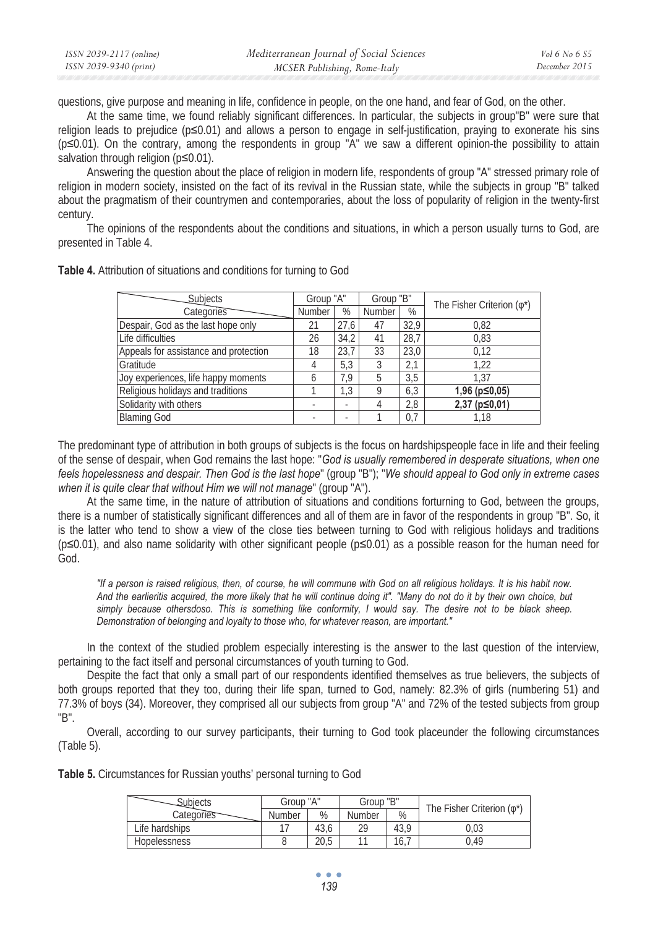| ISSN 2039-2117 (online) | Mediterranean Journal of Social Sciences | Vol 6 No 6 S5 |
|-------------------------|------------------------------------------|---------------|
| ISSN 2039-9340 (print)  | MCSER Publishing, Rome-Italy             | December 2015 |

questions, give purpose and meaning in life, confidence in people, on the one hand, and fear of God, on the other.

At the same time, we found reliably significant differences. In particular, the subjects in group"B" were sure that religion leads to prejudice ( $p \le 0.01$ ) and allows a person to engage in self-justification, praying to exonerate his sins  $(p \le 0.01)$ . On the contrary, among the respondents in group "A" we saw a different opinion-the possibility to attain salvation through religion ( $p \le 0.01$ ).

Answering the question about the place of religion in modern life, respondents of group "A" stressed primary role of religion in modern society, insisted on the fact of its revival in the Russian state, while the subjects in group "B" talked about the pragmatism of their countrymen and contemporaries, about the loss of popularity of religion in the twenty-first century.

The opinions of the respondents about the conditions and situations, in which a person usually turns to God, are presented in Table 4.

| Subjects                              | Group "A"    |      | Group "B" |      | The Fisher Criterion $(\varphi^*)$ |
|---------------------------------------|--------------|------|-----------|------|------------------------------------|
| Categories                            | Number       | %    | Number    | %    |                                    |
| Despair, God as the last hope only    | 21           | 27,6 | 47        | 32.9 | 0,82                               |
| Life difficulties                     | 26           | 34.2 | 41        | 28.7 | 0,83                               |
| Appeals for assistance and protection | 18           | 23.7 | 33        | 23.0 | 0.12                               |
| Gratitude                             |              | 5,3  |           | 2,1  | 1.22                               |
| Joy experiences, life happy moments   | <sub>6</sub> | 7.9  | 5         | 3,5  | 1.37                               |
| Religious holidays and traditions     |              | 1,3  | 9         | 6,3  | $1,96$ ( $p \le 0,05$ )            |
| Solidarity with others                |              |      |           | 2.8  | 2,37 (p≤0,01)                      |
| <b>Blaming God</b>                    |              | ۰    |           | 0,7  | 1.18                               |

**Table 4.** Attribution of situations and conditions for turning to God

The predominant type of attribution in both groups of subjects is the focus on hardshipspeople face in life and their feeling of the sense of despair, when God remains the last hope: "*God is usually remembered in desperate situations, when one feels hopelessness and despair. Then God is the last hope*" (group "B"); "*We should appeal to God only in extreme cases when it is quite clear that without Him we will not manage*" (group "A").

At the same time, in the nature of attribution of situations and conditions forturning to God, between the groups, there is a number of statistically significant differences and all of them are in favor of the respondents in group "B". So, it is the latter who tend to show a view of the close ties between turning to God with religious holidays and traditions  $(p\leq 0.01)$ , and also name solidarity with other significant people  $(p\leq 0.01)$  as a possible reason for the human need for God.

*"If a person is raised religious, then, of course, he will commune with God on all religious holidays. It is his habit now. And the earlieritis acquired, the more likely that he will continue doing it". "Many do not do it by their own choice, but simply because othersdoso. This is something like conformity, I would say. The desire not to be black sheep. Demonstration of belonging and loyalty to those who, for whatever reason, are important."* 

In the context of the studied problem especially interesting is the answer to the last question of the interview, pertaining to the fact itself and personal circumstances of youth turning to God.

Despite the fact that only a small part of our respondents identified themselves as true believers, the subjects of both groups reported that they too, during their life span, turned to God, namely: 82.3% of girls (numbering 51) and 77.3% of boys (34). Moreover, they comprised all our subjects from group "A" and 72% of the tested subjects from group "B".

Overall, according to our survey participants, their turning to God took placeunder the following circumstances (Table 5).

**Table 5.** Circumstances for Russian youths' personal turning to God

| <b>Subjects</b>     | Group "A" |      | Group "B" |      | The Fisher Criterion $(\varphi^*)$ |
|---------------------|-----------|------|-----------|------|------------------------------------|
| Categories          | Number    | %    | Number    | %    |                                    |
| Life hardships      |           | 43.6 | 29        | 43.9 | 0.03                               |
| <b>Hopelessness</b> |           | 20.5 |           | 16.  | 0.49                               |